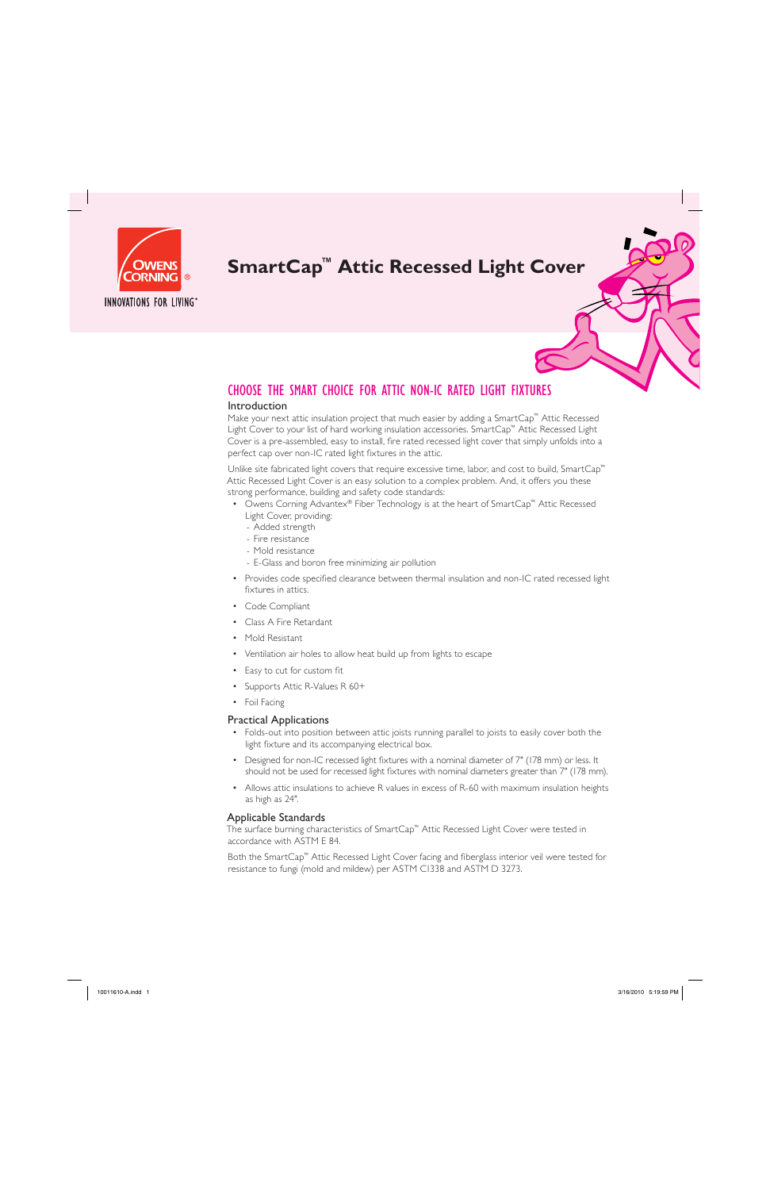

## **SmartCap™ Attic Recessed Light Cover**

### CHOOSE THE SMART CHOICE FOR ATTIC NON-IC RATED LIGHT FIXTURES

### Introduction

Make your next attic insulation project that much easier by adding a SmartCap™ Attic Recessed Light Cover to your list of hard working insulation accessories. SmartCap™ Attic Recessed Light Cover is a pre-assembled, easy to install, fire rated recessed light cover that simply unfolds into a perfect cap over non-IC rated light fixtures in the attic.

Unlike site fabricated light covers that require excessive time, labor, and cost to build, SmartCap™ Attic Recessed Light Cover is an easy solution to a complex problem. And, it offers you these strong performance, building and safety code standards:

- Owens Corning Advantex® Fiber Technology is at the heart of SmartCap™ Attic Recessed Light Cover, providing:
	- Added strength
	- Fire resistance
	- Mold resistance
	- E-Glass and boron free minimizing air pollution
- Provides code specified clearance between thermal insulation and non-IC rated recessed light fixtures in attics.
- Code Compliant
- Class A Fire Retardant
- Mold Resistant
- Ventilation air holes to allow heat build up from lights to escape
- Easy to cut for custom fit
- Supports Attic R-Values R 60+
- Foil Facing

#### Practical Applications

- Folds-out into position between attic joists running parallel to joists to easily cover both the light fixture and its accompanying electrical box.
- Designed for non-IC recessed light fixtures with a nominal diameter of 7" (178 mm) or less. It should not be used for recessed light fixtures with nominal diameters greater than 7" (178 mm).
- Allows attic insulations to achieve R values in excess of R-60 with maximum insulation heights as high as 24".

#### Applicable Standards

The surface burning characteristics of SmartCap™ Attic Recessed Light Cover were tested in accordance with ASTM E 84.

Both the SmartCap™ Attic Recessed Light Cover facing and fiberglass interior veil were tested for resistance to fungi (mold and mildew) per ASTM C1338 and ASTM D 3273.